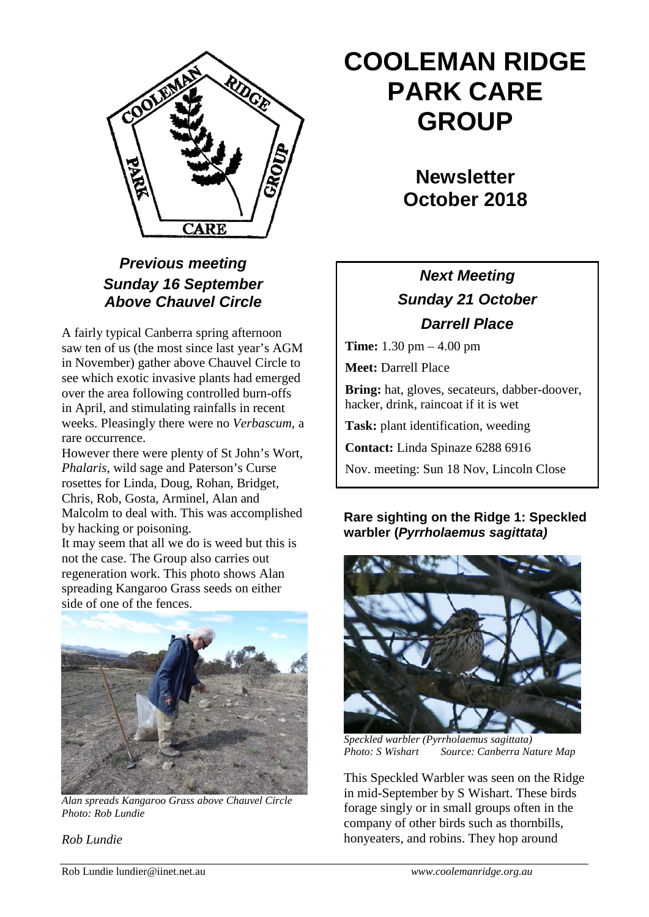

## *Previous meeting Sunday 16 September Above Chauvel Circle*

A fairly typical Canberra spring afternoon saw ten of us (the most since last year's AGM in November) gather above Chauvel Circle to see which exotic invasive plants had emerged over the area following controlled burn-offs in April, and stimulating rainfalls in recent weeks. Pleasingly there were no *Verbascum*, a rare occurrence.

However there were plenty of St John's Wort, *Phalaris*, wild sage and Paterson's Curse rosettes for Linda, Doug, Rohan, Bridget, Chris, Rob, Gosta, Arminel, Alan and Malcolm to deal with. This was accomplished by hacking or poisoning.

It may seem that all we do is weed but this is not the case. The Group also carries out regeneration work. This photo shows Alan spreading Kangaroo Grass seeds on either side of one of the fences.



*Alan spreads Kangaroo Grass above Chauvel Circle Photo: Rob Lundie*

*Rob Lundie*

# **COOLEMAN RIDGE PARK CARE GROUP**

**Newsletter October 2018** 

# *Next Meeting Sunday 21 October Darrell Place*

**Time:** 1.30 pm – 4.00 pm

**Meet:** Darrell Place

**Bring:** hat, gloves, secateurs, dabber-doover, hacker, drink, raincoat if it is wet

**Task:** plant identification, weeding

**Contact:** Linda Spinaze 6288 6916

Nov. meeting: Sun 18 Nov, Lincoln Close

#### **Rare sighting on the Ridge 1: Speckled warbler (***Pyrrholaemus sagittata)*



*Speckled warbler (Pyrrholaemus sagittata) Photo: S Wishart Source: Canberra Nature Map*

This Speckled Warbler was seen on the Ridge in mid-September by S Wishart. These birds forage singly or in small groups often in the company of other birds such as thornbills, honyeaters, and robins. They hop around